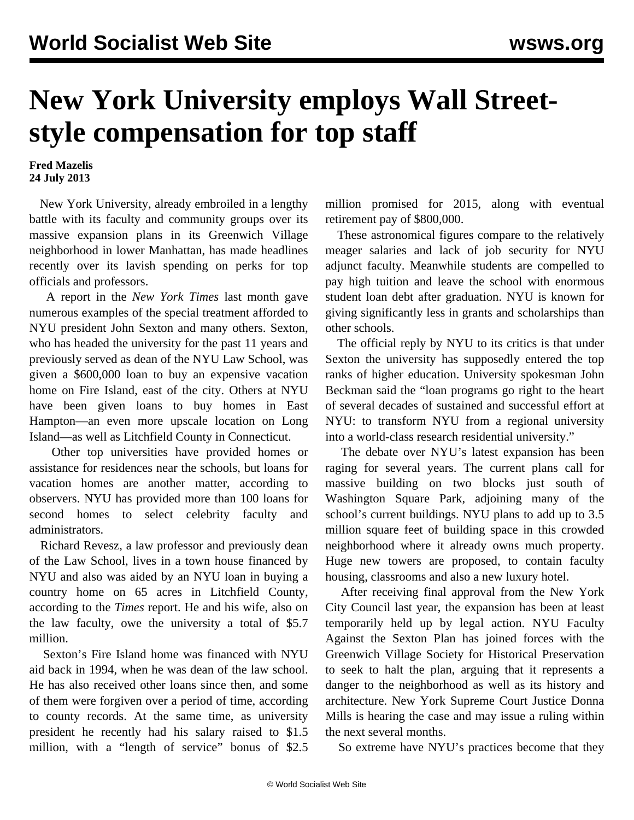## **New York University employs Wall Streetstyle compensation for top staff**

## **Fred Mazelis 24 July 2013**

 New York University, already embroiled in a lengthy battle with its faculty and community groups over its massive expansion plans in its Greenwich Village neighborhood in lower Manhattan, has made headlines recently over its lavish spending on perks for top officials and professors.

 A report in the *New York Times* last month gave numerous examples of the special treatment afforded to NYU president John Sexton and many others. Sexton, who has headed the university for the past 11 years and previously served as dean of the NYU Law School, was given a \$600,000 loan to buy an expensive vacation home on Fire Island, east of the city. Others at NYU have been given loans to buy homes in East Hampton—an even more upscale location on Long Island—as well as Litchfield County in Connecticut.

 Other top universities have provided homes or assistance for residences near the schools, but loans for vacation homes are another matter, according to observers. NYU has provided more than 100 loans for second homes to select celebrity faculty and administrators.

 Richard Revesz, a law professor and previously dean of the Law School, lives in a town house financed by NYU and also was aided by an NYU loan in buying a country home on 65 acres in Litchfield County, according to the *Times* report. He and his wife, also on the law faculty, owe the university a total of \$5.7 million.

 Sexton's Fire Island home was financed with NYU aid back in 1994, when he was dean of the law school. He has also received other loans since then, and some of them were forgiven over a period of time, according to county records. At the same time, as university president he recently had his salary raised to \$1.5 million, with a "length of service" bonus of \$2.5 million promised for 2015, along with eventual retirement pay of \$800,000.

 These astronomical figures compare to the relatively meager salaries and lack of job security for NYU adjunct faculty. Meanwhile students are compelled to pay high tuition and leave the school with enormous student loan debt after graduation. NYU is known for giving significantly less in grants and scholarships than other schools.

 The official reply by NYU to its critics is that under Sexton the university has supposedly entered the top ranks of higher education. University spokesman John Beckman said the "loan programs go right to the heart of several decades of sustained and successful effort at NYU: to transform NYU from a regional university into a world-class research residential university."

 The debate over NYU's latest expansion has been raging for several years. The current plans call for massive building on two blocks just south of Washington Square Park, adjoining many of the school's current buildings. NYU plans to add up to 3.5 million square feet of building space in this crowded neighborhood where it already owns much property. Huge new towers are proposed, to contain faculty housing, classrooms and also a new luxury hotel.

 After receiving final approval from the New York City Council last year, the expansion has been at least temporarily held up by legal action. NYU Faculty Against the Sexton Plan has joined forces with the Greenwich Village Society for Historical Preservation to seek to halt the plan, arguing that it represents a danger to the neighborhood as well as its history and architecture. New York Supreme Court Justice Donna Mills is hearing the case and may issue a ruling within the next several months.

So extreme have NYU's practices become that they